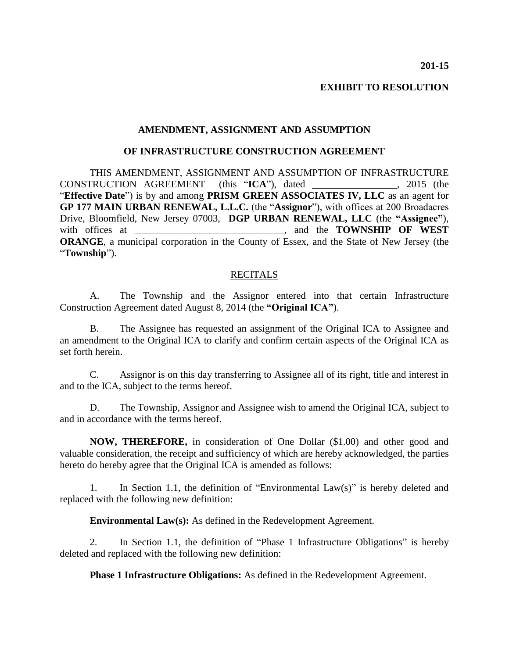**EXHIBIT TO RESOLUTION**

## **AMENDMENT, ASSIGNMENT AND ASSUMPTION**

## **OF INFRASTRUCTURE CONSTRUCTION AGREEMENT**

THIS AMENDMENT, ASSIGNMENT AND ASSUMPTION OF INFRASTRUCTURE CONSTRUCTION AGREEMENT (this "**ICA**"), dated \_\_\_\_\_\_\_\_\_\_\_\_\_\_\_\_\_, 2015 (the "**Effective Date**") is by and among **PRISM GREEN ASSOCIATES IV, LLC** as an agent for **GP 177 MAIN URBAN RENEWAL, L.L.C.** (the "**Assignor**"), with offices at 200 Broadacres Drive, Bloomfield, New Jersey 07003, **DGP URBAN RENEWAL, LLC** (the **"Assignee"**), with offices at \_\_\_\_\_\_\_\_\_\_\_\_\_\_\_\_\_\_\_\_\_\_\_\_\_\_\_\_\_\_, and the **TOWNSHIP OF WEST ORANGE**, a municipal corporation in the County of Essex, and the State of New Jersey (the "**Township**").

## RECITALS

A. The Township and the Assignor entered into that certain Infrastructure Construction Agreement dated August 8, 2014 (the **"Original ICA"**).

B. The Assignee has requested an assignment of the Original ICA to Assignee and an amendment to the Original ICA to clarify and confirm certain aspects of the Original ICA as set forth herein.

C. Assignor is on this day transferring to Assignee all of its right, title and interest in and to the ICA, subject to the terms hereof.

D. The Township, Assignor and Assignee wish to amend the Original ICA, subject to and in accordance with the terms hereof.

**NOW, THEREFORE,** in consideration of One Dollar (\$1.00) and other good and valuable consideration, the receipt and sufficiency of which are hereby acknowledged, the parties hereto do hereby agree that the Original ICA is amended as follows:

1. In Section 1.1, the definition of "Environmental Law(s)" is hereby deleted and replaced with the following new definition:

**Environmental Law(s):** As defined in the Redevelopment Agreement.

2. In Section 1.1, the definition of "Phase 1 Infrastructure Obligations" is hereby deleted and replaced with the following new definition:

**Phase 1 Infrastructure Obligations:** As defined in the Redevelopment Agreement.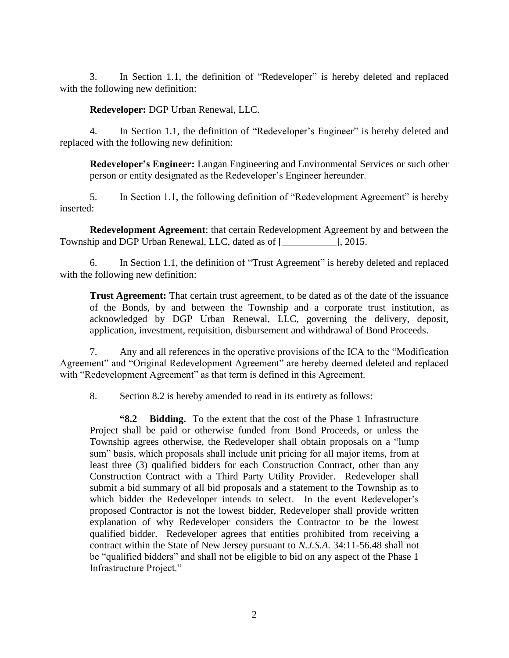3. In Section 1.1, the definition of "Redeveloper" is hereby deleted and replaced with the following new definition:

**Redeveloper:** DGP Urban Renewal, LLC.

4. In Section 1.1, the definition of "Redeveloper's Engineer" is hereby deleted and replaced with the following new definition:

**Redeveloper's Engineer:** Langan Engineering and Environmental Services or such other person or entity designated as the Redeveloper's Engineer hereunder.

5. In Section 1.1, the following definition of "Redevelopment Agreement" is hereby inserted:

**Redevelopment Agreement**: that certain Redevelopment Agreement by and between the Township and DGP Urban Renewal, LLC, dated as of [\_\_\_\_\_\_\_\_\_\_\_], 2015.

6. In Section 1.1, the definition of "Trust Agreement" is hereby deleted and replaced with the following new definition:

**Trust Agreement:** That certain trust agreement, to be dated as of the date of the issuance of the Bonds, by and between the Township and a corporate trust institution, as acknowledged by DGP Urban Renewal, LLC, governing the delivery, deposit, application, investment, requisition, disbursement and withdrawal of Bond Proceeds.

7. Any and all references in the operative provisions of the ICA to the "Modification Agreement" and "Original Redevelopment Agreement" are hereby deemed deleted and replaced with "Redevelopment Agreement" as that term is defined in this Agreement.

8. Section 8.2 is hereby amended to read in its entirety as follows:

**"8.2 Bidding.** To the extent that the cost of the Phase 1 Infrastructure Project shall be paid or otherwise funded from Bond Proceeds, or unless the Township agrees otherwise, the Redeveloper shall obtain proposals on a "lump sum" basis, which proposals shall include unit pricing for all major items, from at least three (3) qualified bidders for each Construction Contract, other than any Construction Contract with a Third Party Utility Provider. Redeveloper shall submit a bid summary of all bid proposals and a statement to the Township as to which bidder the Redeveloper intends to select. In the event Redeveloper's proposed Contractor is not the lowest bidder, Redeveloper shall provide written explanation of why Redeveloper considers the Contractor to be the lowest qualified bidder. Redeveloper agrees that entities prohibited from receiving a contract within the State of New Jersey pursuant to *N.J.S.A.* 34:11-56.48 shall not be "qualified bidders" and shall not be eligible to bid on any aspect of the Phase 1 Infrastructure Project."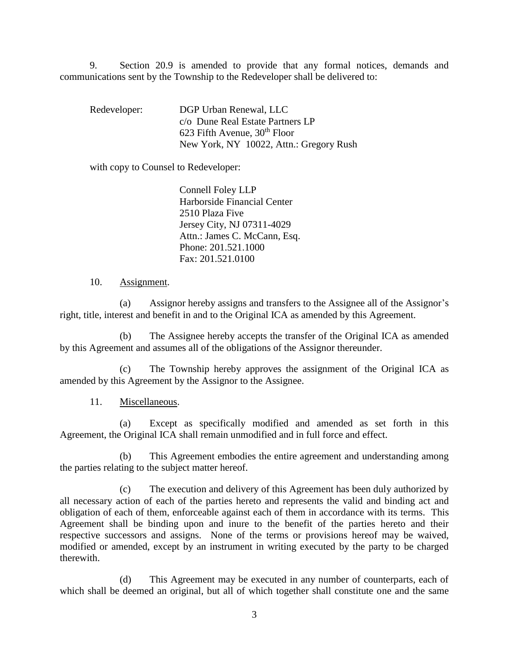9. Section 20.9 is amended to provide that any formal notices, demands and communications sent by the Township to the Redeveloper shall be delivered to:

Redeveloper: DGP Urban Renewal, LLC c/o Dune Real Estate Partners LP 623 Fifth Avenue,  $30<sup>th</sup>$  Floor New York, NY 10022, Attn.: Gregory Rush

with copy to Counsel to Redeveloper:

Connell Foley LLP Harborside Financial Center 2510 Plaza Five Jersey City, NJ 07311-4029 Attn.: James C. McCann, Esq. Phone: 201.521.1000 Fax: 201.521.0100

## 10. Assignment.

(a) Assignor hereby assigns and transfers to the Assignee all of the Assignor's right, title, interest and benefit in and to the Original ICA as amended by this Agreement.

(b) The Assignee hereby accepts the transfer of the Original ICA as amended by this Agreement and assumes all of the obligations of the Assignor thereunder.

(c) The Township hereby approves the assignment of the Original ICA as amended by this Agreement by the Assignor to the Assignee.

11. Miscellaneous.

(a) Except as specifically modified and amended as set forth in this Agreement, the Original ICA shall remain unmodified and in full force and effect.

(b) This Agreement embodies the entire agreement and understanding among the parties relating to the subject matter hereof.

(c) The execution and delivery of this Agreement has been duly authorized by all necessary action of each of the parties hereto and represents the valid and binding act and obligation of each of them, enforceable against each of them in accordance with its terms. This Agreement shall be binding upon and inure to the benefit of the parties hereto and their respective successors and assigns. None of the terms or provisions hereof may be waived, modified or amended, except by an instrument in writing executed by the party to be charged therewith.

(d) This Agreement may be executed in any number of counterparts, each of which shall be deemed an original, but all of which together shall constitute one and the same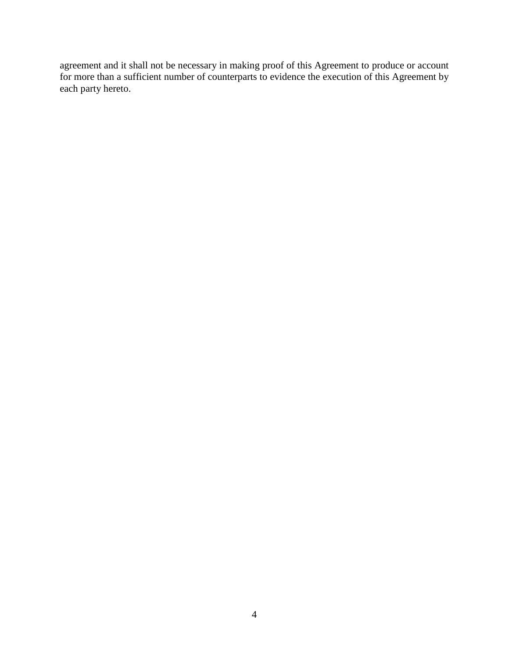agreement and it shall not be necessary in making proof of this Agreement to produce or account for more than a sufficient number of counterparts to evidence the execution of this Agreement by each party hereto.